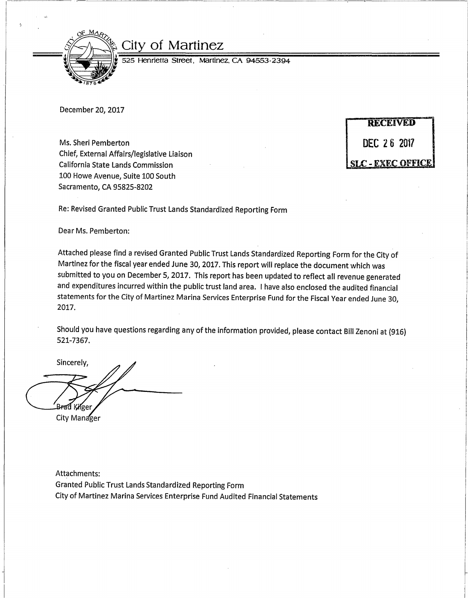

## City of Martinez

525 Henrietta Street, Martinez. CA 94553-2394

·

December 20, 2017

Ms. Sheri Pemberton **DEC 26 2017** Chief, External Affairs/legislative Liaison California State Lands Commission 100 Howe Avenue, Suite 100 South Sacramento, CA 95825-8202

**RECEIVED SLC - EXEC OFFICE** 

Re: Revised Granted Public Trust Lands Standardized Reporting Form

Dear Ms. Pemberton:

Attached please find a revised Granted Public Trust Lands Standardized Reporting Form for the City of Martinez for the fiscal year ended June 30, 2017. This report will replace the document which was submitted to you on December 5, 2017. This report has been updated to reflect all revenue generated and expenditures incurred within the public trust land area. I have also enclosed the audited financial statements for the City of Martinez Marina Services Enterprise Fund for the Fiscal Year ended June 30, 2017.

Should you have questions regarding any of the information provided, please contact Bill Zenoni at {916) 521-7367.

Sincerely, Kilee City Manager

Attachments: Granted Public Trust Lands Standardized Reporting Form City of Martinez Marina Services Enterprise Fund Audited Financial Statements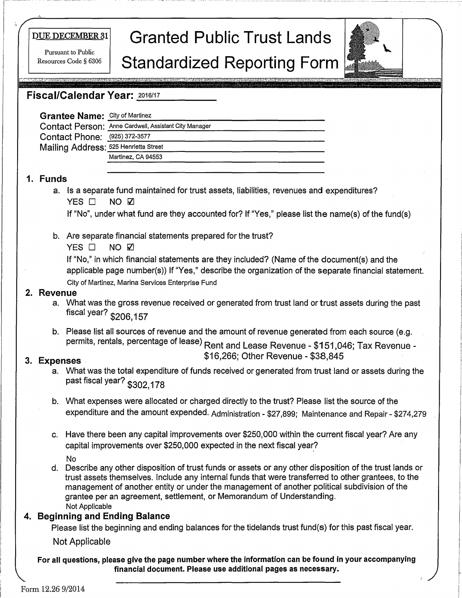Resources Code § 6306

# nUEnEcEMBER31 **Granted Public Trust Lands**  Pursuant to Public<br>sources Code § 6306 **Standardized Reporting Form**



## -------- **Fiscal/Calendar Year:** <sup>2016111</sup>

| <b>Grantee Name: City of Martinez</b> |                                                       |
|---------------------------------------|-------------------------------------------------------|
|                                       | Contact Person: Anne Cardwell, Assistant City Manager |
| Contact Phone: (925) 372-3577         |                                                       |
| Mailing Address: 525 Henrietta Street |                                                       |
|                                       | Martinez, CA 94553                                    |
|                                       |                                                       |

### **1. Funds**

a. Is a separate fund maintained for trust assets, liabilities, revenues and expenditures? YES □ **NO V** 

If "No", under what fund are they accounted for? If "Yes," please list the name(s) of the fund(s)

b. Are separate financial statements prepared for the trust?

YES  $\Box$  NO  $\Box$ 

If "No," in which financial statements are they included? (Name of the document(s) and the applicable page number(s)) If "Yes," describe the organization of the separate financial statement. City of Martinez, Marina Services Enterprise Fund

### **2. Revenue**

- a. What was the gross revenue received or generated from trust land or trust assets during the past fiscal year? \$206,157
- b. Please list all sources of revenue and the amount of revenue generated from each source (e.g. permits, rentals, percentage of lease) Rent and Lease Revenue - \$151,046; Tax Revenue -

## \$16,266; Other Revenue - \$38,845 **3. Expenses**

- a. What was the total expenditure of funds received or generated from trust land or assets during the past fiscal year? \$302,178
- b. What expenses were allocated or charged directly to the trust? Please list the source of the expenditure and the amount expended. Administration - \$27,899; Maintenance and Repair- \$274,279
- c. Have there been any capital improvements over \$250,000 within the current fiscal year? Are any capital improvements over \$250,000 expected in the next fiscal year?
	- No
- d. Describe any other disposition of trust funds or assets or any other disposition of the trust lands or trust assets themselves. Include any internal funds that were transferred to other grantees, to the management of another entity or under the management of another political subdivision of the grantee per an agreement, settlement, or Memorandum of Understanding. Not Applicable

## **4. Beginning and Ending Balance**

Please list the beginning and ending balances for the tidelands trust fund(s) for this past fiscal year.

Not Applicable

For all questions, please give the page number where the information can be found in your accompanying **financial document. Please use additional pages as necessary.**